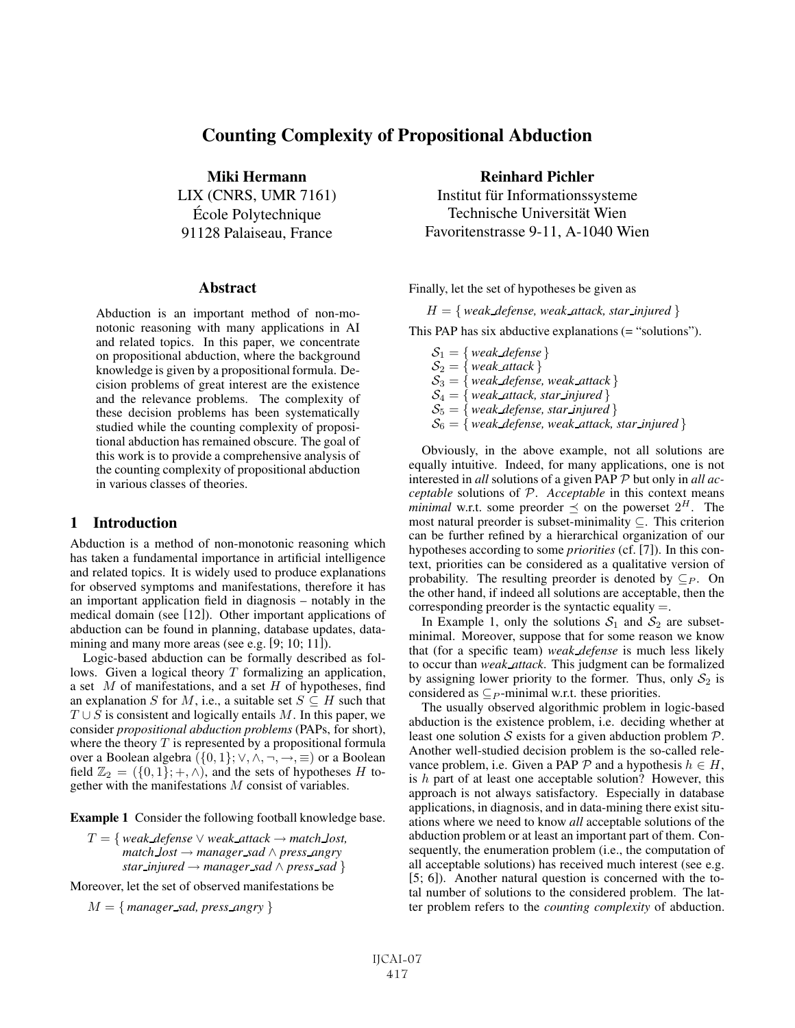# Counting Complexity of Propositional Abduction

Miki Hermann LIX (CNRS, UMR 7161) Ecole Polytechnique ´ 91128 Palaiseau, France

#### Abstract

Abduction is an important method of non-monotonic reasoning with many applications in AI and related topics. In this paper, we concentrate on propositional abduction, where the background knowledge is given by a propositional formula. Decision problems of great interest are the existence and the relevance problems. The complexity of these decision problems has been systematically studied while the counting complexity of propositional abduction has remained obscure. The goal of this work is to provide a comprehensive analysis of the counting complexity of propositional abduction in various classes of theories.

# 1 Introduction

Abduction is a method of non-monotonic reasoning which has taken a fundamental importance in artificial intelligence and related topics. It is widely used to produce explanations for observed symptoms and manifestations, therefore it has an important application field in diagnosis – notably in the medical domain (see [12]). Other important applications of abduction can be found in planning, database updates, datamining and many more areas (see e.g. [9; 10; 11]).

Logic-based abduction can be formally described as follows. Given a logical theory  $T$  formalizing an application, a set  $M$  of manifestations, and a set  $H$  of hypotheses, find an explanation S for M, i.e., a suitable set  $S \subseteq H$  such that  $T \cup S$  is consistent and logically entails M. In this paper, we consider *propositional abduction problems* (PAPs, for short), where the theory  $T$  is represented by a propositional formula over a Boolean algebra  $({0, 1}; \vee, \wedge, \neg, \rightarrow, \equiv)$  or a Boolean field  $\mathbb{Z}_2 = (\{0,1\}; +, \wedge)$ , and the sets of hypotheses H together with the manifestations M consist of variables.

Example 1 Consider the following football knowledge base.

 $T = \{ weak\_define \lor weak\_attack \rightarrow match\_lost,$ *match lost* → *manager sad* ∧ *press angry star\_injured*  $\rightarrow$  *manager\_sad*  $\land$  *press\_sad*  $\}$ 

Moreover, let the set of observed manifestations be

 $M = \{$  *manager\_sad, press\_angry*  $\}$ 

## Reinhard Pichler

Institut für Informationssysteme Technische Universität Wien Favoritenstrasse 9-11, A-1040 Wien

Finally, let the set of hypotheses be given as

 $H = \{$  weak *defense, weak attack, star injured*  $\}$ 

This PAP has six abductive explanations (= "solutions").

 $S_1 = \{ \text{ weak\_defense} \}$  $\mathcal{S}_2 = \{ \text{ weak\_attack} \}$  $\mathcal{S}_3 = \{ \text{ weak\_defense}, \text{ weak\_attack} \}$  $\mathcal{S}_4 = \{ \text{ weak } \text{ attack}, \text{ star } \text{ injured} \}$  $S_5 = \{ weak\_defense, star\_injured \}$  $\mathcal{S}_6 = \{ \text{ weak} \_\text{defense}, \text{ weak} \_\text{attack}, \text{star} \_\text{injured} \}$ 

Obviously, in the above example, not all solutions are equally intuitive. Indeed, for many applications, one is not interested in *all* solutions of a given PAP P but only in *all acceptable* solutions of P. *Acceptable* in this context means *minimal* w.r.t. some preorder  $\preceq$  on the powerset  $2^H$ . The most natural preorder is subset-minimality ⊆. This criterion can be further refined by a hierarchical organization of our hypotheses according to some *priorities* (cf. [7]). In this context, priorities can be considered as a qualitative version of probability. The resulting preorder is denoted by  $\subseteq$   $\varphi$ . On the other hand, if indeed all solutions are acceptable, then the corresponding preorder is the syntactic equality  $=$ .

In Example 1, only the solutions  $S_1$  and  $S_2$  are subsetminimal. Moreover, suppose that for some reason we know that (for a specific team) *weak defense* is much less likely to occur than *weak attack*. This judgment can be formalized by assigning lower priority to the former. Thus, only  $S_2$  is considered as  $\subseteq$  *P*-minimal w.r.t. these priorities.

The usually observed algorithmic problem in logic-based abduction is the existence problem, i.e. deciding whether at least one solution  $S$  exists for a given abduction problem  $P$ . Another well-studied decision problem is the so-called relevance problem, i.e. Given a PAP  $P$  and a hypothesis  $h \in H$ , is  $h$  part of at least one acceptable solution? However, this approach is not always satisfactory. Especially in database applications, in diagnosis, and in data-mining there exist situations where we need to know *all* acceptable solutions of the abduction problem or at least an important part of them. Consequently, the enumeration problem (i.e., the computation of all acceptable solutions) has received much interest (see e.g. [5; 6]). Another natural question is concerned with the total number of solutions to the considered problem. The latter problem refers to the *counting complexity* of abduction.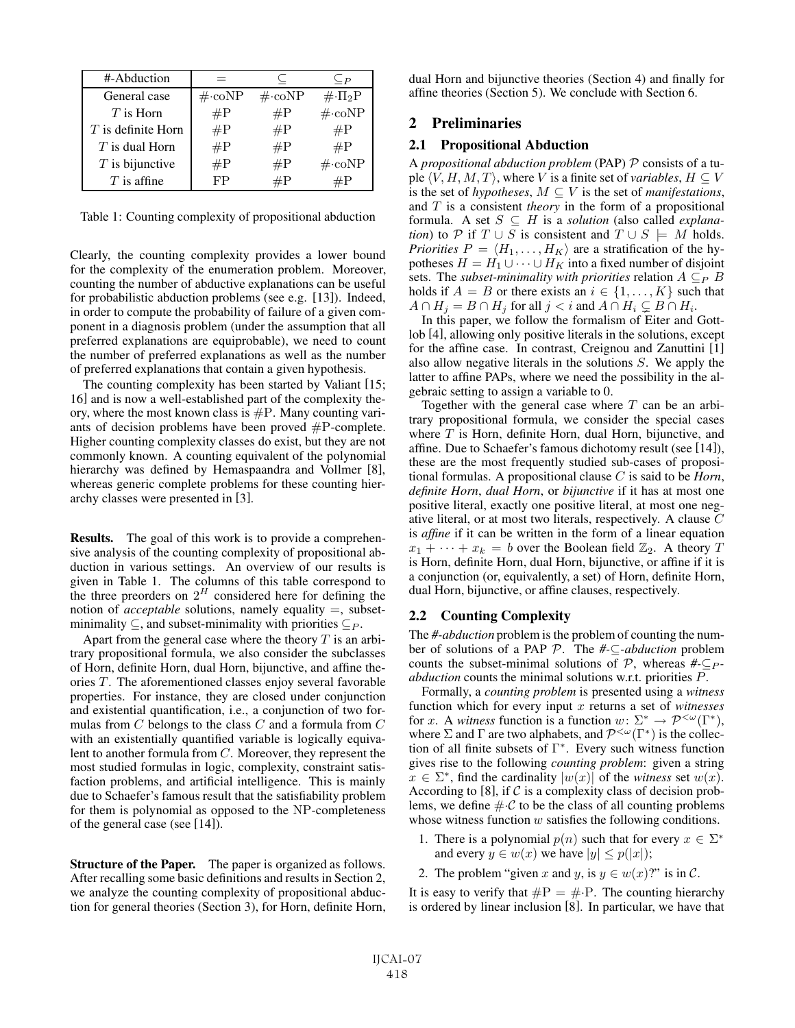| #-Abduction          |                           |                           | $\subseteq P$             |
|----------------------|---------------------------|---------------------------|---------------------------|
| General case         | $\#\text{-}\mathrm{coNP}$ | $\#\text{-}\mathrm{coNP}$ | $\#\cdot\Pi_2P$           |
| $T$ is Horn          | $\#P$                     | $\#P$                     | $\#\text{-}\mathrm{coNP}$ |
| $T$ is definite Horn | $\#P$                     | $\#P$                     | $\#P$                     |
| $T$ is dual Horn     | $\#P$                     | $\#P$                     | $\#P$                     |
| $T$ is bijunctive    | $\#P$                     | $\#P$                     | $\#\text{-}\mathrm{coNP}$ |
| $T$ is affine        | FP                        | $\rm \#P$                 | #P                        |

Table 1: Counting complexity of propositional abduction

Clearly, the counting complexity provides a lower bound for the complexity of the enumeration problem. Moreover, counting the number of abductive explanations can be useful for probabilistic abduction problems (see e.g. [13]). Indeed, in order to compute the probability of failure of a given component in a diagnosis problem (under the assumption that all preferred explanations are equiprobable), we need to count the number of preferred explanations as well as the number of preferred explanations that contain a given hypothesis.

The counting complexity has been started by Valiant [15; 16] and is now a well-established part of the complexity theory, where the most known class is  $\#P$ . Many counting variants of decision problems have been proved  $\#P$ -complete. Higher counting complexity classes do exist, but they are not commonly known. A counting equivalent of the polynomial hierarchy was defined by Hemaspaandra and Vollmer [8], whereas generic complete problems for these counting hierarchy classes were presented in [3].

Results. The goal of this work is to provide a comprehensive analysis of the counting complexity of propositional abduction in various settings. An overview of our results is given in Table 1. The columns of this table correspond to the three preorders on  $2^H$  considered here for defining the notion of *acceptable* solutions, namely equality =, subsetminimality  $\subseteq$ , and subset-minimality with priorities  $\subseteq$   $\subseteq$ .

Apart from the general case where the theory  $T$  is an arbitrary propositional formula, we also consider the subclasses of Horn, definite Horn, dual Horn, bijunctive, and affine theories  $T$ . The aforementioned classes enjoy several favorable properties. For instance, they are closed under conjunction and existential quantification, i.e., a conjunction of two formulas from  $C$  belongs to the class  $C$  and a formula from  $C$ with an existentially quantified variable is logically equivalent to another formula from C. Moreover, they represent the most studied formulas in logic, complexity, constraint satisfaction problems, and artificial intelligence. This is mainly due to Schaefer's famous result that the satisfiability problem for them is polynomial as opposed to the NP-completeness of the general case (see [14]).

Structure of the Paper. The paper is organized as follows. After recalling some basic definitions and results in Section 2, we analyze the counting complexity of propositional abduction for general theories (Section 3), for Horn, definite Horn, dual Horn and bijunctive theories (Section 4) and finally for affine theories (Section 5). We conclude with Section 6.

# 2 Preliminaries

#### 2.1 Propositional Abduction

A *propositional abduction problem* (PAP) P consists of a tuple  $\langle V, H, M, T \rangle$ , where V is a finite set of *variables*,  $H \subseteq V$ <br>is the set of *hypotheses*  $M \subseteq V$  is the set of *manifestations* is the set of *hypotheses*,  $M \subseteq V$  is the set of *manifestations*, and T is a consistent *theory* in the form of a propositional formula. A set  $S \subseteq H$  is a *solution* (also called *explanation*) to P if  $T \cup S$  is consistent and  $T \cup S = M$  holds. *Priorities*  $P = \langle H_1, \ldots, H_K \rangle$  are a stratification of the hy-<br>potheses  $H = H_1 \cup \cdots \cup H_K$  into a fixed number of disjoint potheses  $H = H_1 \cup \cdots \cup H_K$  into a fixed number of disjoint sets. The *subset-minimality with priorities* relation  $A \subseteq_{P} B$ holds if  $A = B$  or there exists an  $i \in \{1, ..., K\}$  such that  $A \cap H_j = B \cap H_j$  for all  $j < i$  and  $A \cap H_i \subsetneq B \cap H_i$ .<br>In this paper we follow the formalism of Fiter and

In this paper, we follow the formalism of Eiter and Gottlob [4], allowing only positive literals in the solutions, except for the affine case. In contrast, Creignou and Zanuttini [1] also allow negative literals in the solutions S. We apply the latter to affine PAPs, where we need the possibility in the algebraic setting to assign a variable to 0.

Together with the general case where  $T$  can be an arbitrary propositional formula, we consider the special cases where  $T$  is Horn, definite Horn, dual Horn, bijunctive, and affine. Due to Schaefer's famous dichotomy result (see [14]), these are the most frequently studied sub-cases of propositional formulas. A propositional clause C is said to be *Horn*, *definite Horn*, *dual Horn*, or *bijunctive* if it has at most one positive literal, exactly one positive literal, at most one negative literal, or at most two literals, respectively. A clause C is *affine* if it can be written in the form of a linear equation  $x_1 + \cdots + x_k = b$  over the Boolean field  $\mathbb{Z}_2$ . A theory T is Horn, definite Horn, dual Horn, bijunctive, or affine if it is a conjunction (or, equivalently, a set) of Horn, definite Horn, dual Horn, bijunctive, or affine clauses, respectively.

#### 2.2 Counting Complexity

The *#-abduction* problem is the problem of counting the number of solutions of a PAP P. The *#-*⊆*-abduction* problem counts the subset-minimal solutions of  $\mathcal{P}$ , whereas  $\#_{\mathcal{P}}$ *abduction* counts the minimal solutions w.r.t. priorities P.

Formally, a *counting problem* is presented using a *witness* function which for every input x returns a set of *witnesses* for x. A *witness* function is a function  $w: \Sigma^* \to \mathcal{P}^{<\omega}(\Gamma^*)$ , where  $\Sigma$  and  $\Gamma$  are two alphabets, and  $\mathcal{P}^{<\omega}(\Gamma^*)$  is the collection of all finite subsets of Γ<sup>∗</sup>. Every such witness function gives rise to the following *counting problem*: given a string  $x \in \Sigma^*$ , find the cardinality  $|w(x)|$  of the *witness* set  $w(x)$ . According to [8], if  $\mathcal C$  is a complexity class of decision problems, we define  $\#\mathcal{C}$  to be the class of all counting problems whose witness function  $w$  satisfies the following conditions.

- 1. There is a polynomial  $p(n)$  such that for every  $x \in \Sigma^*$ and every  $y \in w(x)$  we have  $|y| \leq p(|x|)$ ;
- 2. The problem "given x and y, is  $y \in w(x)$ ?" is in C.

It is easy to verify that  $\#P = \# \cdot P$ . The counting hierarchy is ordered by linear inclusion [8]. In particular, we have that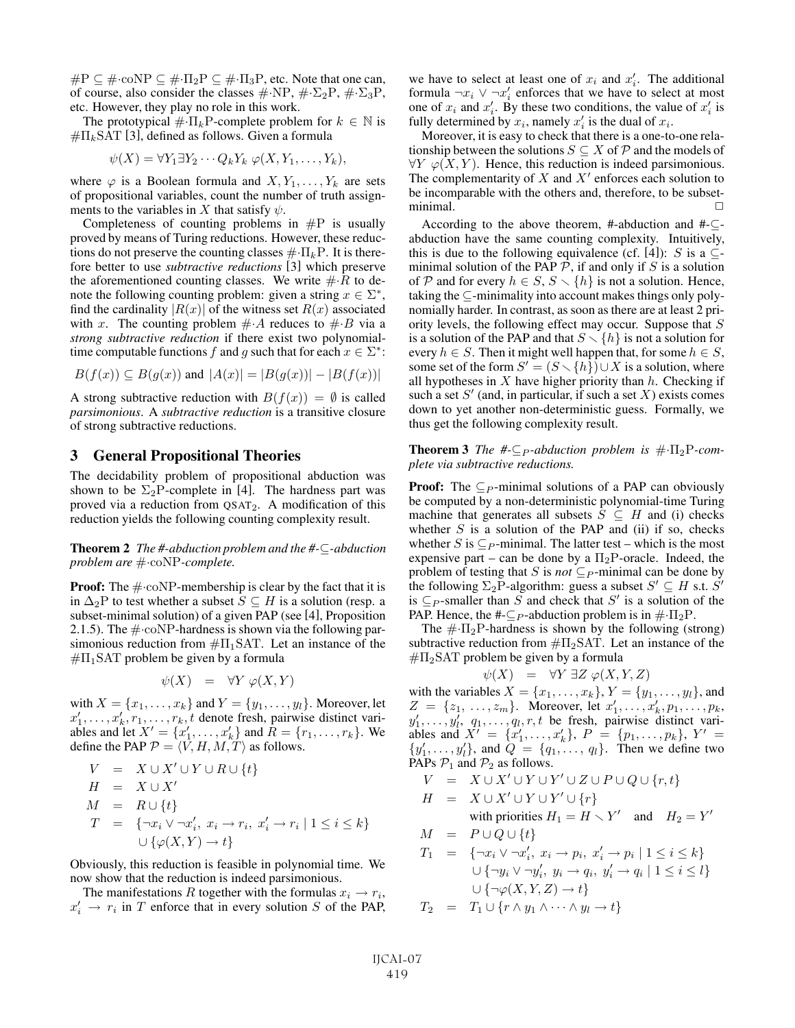$\#P \subseteq \# \cdot \text{coNP} \subseteq \# \cdot \Pi_2 P \subseteq \# \cdot \Pi_3 P$ , etc. Note that one can, of course, also consider the classes  $\#\text{-NP}, \#\text{-}\Sigma_2\text{P}, \#\text{-}\Sigma_3\text{P}$ , etc. However, they play no role in this work.

The prototypical  $\#\,\Pi_k$ P-complete problem for  $k \in \mathbb{N}$  is  $\#\Pi_k$ SAT [3], defined as follows. Given a formula

$$
\psi(X) = \forall Y_1 \exists Y_2 \cdots Q_k Y_k \; \varphi(X, Y_1, \ldots, Y_k),
$$

where  $\varphi$  is a Boolean formula and  $X, Y_1, \ldots, Y_k$  are sets of propositional variables, count the number of truth assignments to the variables in X that satisfy  $\psi$ .

Completeness of counting problems in  $\#P$  is usually proved by means of Turing reductions. However, these reductions do not preserve the counting classes  $\#\,\Pi_k$ P. It is therefore better to use *subtractive reductions* [3] which preserve the aforementioned counting classes. We write  $\#R$  to denote the following counting problem: given a string  $x \in \Sigma^*$ , find the cardinality  $|R(x)|$  of the witness set  $R(x)$  associated with x. The counting problem  $\# A$  reduces to  $\# B$  via a *strong subtractive reduction* if there exist two polynomialtime computable functions f and g such that for each  $x \in \Sigma^*$ :

$$
B(f(x)) \subseteq B(g(x))
$$
 and  $|A(x)| = |B(g(x))| - |B(f(x))|$ 

A strong subtractive reduction with  $B(f(x)) = \emptyset$  is called *parsimonious*. A *subtractive reduction* is a transitive closure of strong subtractive reductions.

# 3 General Propositional Theories

The decidability problem of propositional abduction was shown to be  $\Sigma_2$ P-complete in [4]. The hardness part was proved via a reduction from QSAT2. A modification of this reduction yields the following counting complexity result.

Theorem 2 *The #-abduction problem and the #-*⊆*-abduction problem are* #·coNP*-complete.*

**Proof:** The  $\#$  coNP-membership is clear by the fact that it is in  $\Delta_2$ P to test whether a subset  $S \subseteq H$  is a solution (resp. a subset-minimal solution) of a given PAP (see [4], Proposition 2.1.5). The  $\#\text{-coNP-hardness}$  is shown via the following parsimonious reduction from  $\#\Pi_1\text{SAT}$ . Let an instance of the  $\#\Pi_1$ SAT problem be given by a formula

$$
\psi(X) = \forall Y \varphi(X, Y)
$$

with  $X = \{x_1, \ldots, x_k\}$  and  $Y = \{y_1, \ldots, y_l\}$ . Moreover, let  $x'_i$   $x_1, \ldots, x_k$  denote fresh pairwise distinct vari $x'_1, \ldots, x'_k, r_1, \ldots, r_k, t$  denote fresh, pairwise distinct variables and let  $X' = \{x'_1, \ldots, x'_k\}$  and  $R = \{r_1, \ldots, r_k\}$ . We ables and let  $X' = \{x'_1, \ldots, x'_k\}$  and  $\overline{R} = \{r_1, \ldots, r_k\}$ . We define the PAP  $\mathcal{P} = \langle V, H, M, T \rangle$  as follows.

$$
V = X \cup X' \cup Y \cup R \cup \{t\}
$$
  
\n
$$
H = X \cup X'
$$
  
\n
$$
M = R \cup \{t\}
$$
  
\n
$$
T = \{\neg x_i \vee \neg x'_i, x_i \rightarrow r_i, x'_i \rightarrow r_i | 1 \le i \le k\}
$$
  
\n
$$
\cup \{\varphi(X, Y) \rightarrow t\}
$$

Obviously, this reduction is feasible in polynomial time. We now show that the reduction is indeed parsimonious.

The manifestations R together with the formulas  $x_i \rightarrow r_i$ ,  $x'_i \rightarrow r_i$  in T enforce that in every solution S of the PAP,

we have to select at least one of  $x_i$  and  $x'_i$ . The additional formula  $\neg x_i \vee \neg x'_i$  enforces that we have to select at most formula  $\neg x_i$   $\vee \neg x'_i$  enforces that we have to select at most<br>one of x; and x'. By these two conditions the value of x' is one of  $x_i$  and  $x'_i$ . By these two conditions, the value of  $x'_i$  is fully determined by  $x_i$  namely  $x'_i$  is the dual of  $x_i$ fully determined by  $x_i$ , namely  $x'_i$  is the dual of  $x_i$ .<br>Moreover it is easy to check that there is a one-to

Moreover, it is easy to check that there is a one-to-one relationship between the solutions  $S \subseteq X$  of  $P$  and the models of  $\forall Y \varphi(X, Y)$ . Hence, this reduction is indeed parsimonious. The complementarity of  $X$  and  $X'$  enforces each solution to be incomparable with the others and, therefore, to be subset $minimal.$ 

According to the above theorem, #-abduction and #-⊆ abduction have the same counting complexity. Intuitively, this is due to the following equivalence (cf. [4]): S is a  $\subset$ minimal solution of the PAP  $P$ , if and only if S is a solution of P and for every  $h \in S$ ,  $S \setminus \{h\}$  is not a solution. Hence, taking the ⊆-minimality into account makes things only polynomially harder. In contrast, as soon as there are at least 2 priority levels, the following effect may occur. Suppose that S is a solution of the PAP and that  $S \setminus \{h\}$  is not a solution for every  $h \in S$ . Then it might well happen that, for some  $h \in S$ , some set of the form  $S' = (S \setminus \{h\}) \cup X$  is a solution, where all hypotheses in  $X$  have higher priority than  $h$ . Checking if such a set  $S'$  (and, in particular, if such a set X) exists comes down to yet another non-deterministic guess. Formally, we thus get the following complexity result.

#### **Theorem 3** *The*  $\# \subseteq_{P}$ *-abduction problem is*  $\# \cdot \Pi_2$ P*-complete via subtractive reductions.*

**Proof:** The  $\subseteq$  *P*-minimal solutions of a PAP can obviously be computed by a non-deterministic polynomial-time Turing machine that generates all subsets  $S \subseteq H$  and (i) checks whether  $S$  is a solution of the PAP and (ii) if so, checks whether S is  $\subseteq$  -minimal. The latter test – which is the most expensive part – can be done by a  $\Pi_2$ P-oracle. Indeed, the problem of testing that S is *not*  $\subseteq$  *P*-minimal can be done by the following  $\Sigma_2$ P-algorithm: guess a subset  $S' \subseteq H$  s.t.  $S'$ is  $\subseteq$  *P*-smaller than S and check that S' is a solution of the PAP. Hence, the #- $\subseteq$  *P*-abduction problem is in  $\#\cdot\Pi_2P$ .

The  $\#\cdot\Pi_2$ P-hardness is shown by the following (strong) subtractive reduction from  $\#\Pi_2\text{SAT}$ . Let an instance of the  $\#\Pi_2$ SAT problem be given by a formula

$$
\psi(X) = \forall Y \exists Z \varphi(X, Y, Z)
$$
  
where  $Y = \{x \in \mathbb{R}^n : |X - \varphi(x)| \leq \varepsilon\}$ 

with the variables  $X = \{x_1, ..., x_k\}$ ,  $Y = \{y_1, ..., y_l\}$ , and  $Z = \{z_1, ..., z_k\}$ . Moreover, let  $x'_i, y_1, ..., y_k$  $Z = \{z_1, \ldots, z_m\}$ . Moreover, let  $x'_1, \ldots, x'_k, p_1, \ldots, p_k,$ <br>  $y'_k = y'_k$  (*n*) (*n*)  $r$  t be fresh pairwise distinct vari $y'_1, \ldots, y'_l, q_1, \ldots, q_l, r, t$  be fresh, pairwise distinct variables and  $X' = \{x'_1, \ldots, x'_k\}$   $P = \{y_1, \ldots, y_k\}$   $Y' =$ ables and  $X' = \{x'_1, \ldots, x'_k\}, P = \{p_1, \ldots, p_k\}, Y' = \{y'_k, y'_k\}$  and  $Q = \{a_1, \ldots, a_k\}$ . Then we define two  $\{y'_1, \ldots, y'_l\}$ , and  $\tilde{Q} = \{q_1, \ldots, q_l\}$ . Then we define two PAPs  $\mathcal{P}_1$  and  $\mathcal{P}_2$  as follows PAPs  $P_1$  and  $P_2$  as follows.

$$
V = X \cup X' \cup Y \cup Y' \cup Z \cup P \cup Q \cup \{r, t\}
$$
  
\n
$$
H = X \cup X' \cup Y \cup Y' \cup \{r\}
$$
  
\nwith priorities  $H_1 = H \setminus Y'$  and  $H_2 = Y'$   
\n
$$
M = P \cup Q \cup \{t\}
$$

$$
T_1 = \{ \neg x_i \lor \neg x_i', x_i \rightarrow p_i, x_i' \rightarrow p_i | 1 \le i \le k \}
$$
  

$$
\cup \{ \neg y_i \lor \neg y_i', y_i \rightarrow q_i, y_i' \rightarrow q_i | 1 \le i \le l \}
$$
  

$$
\cup \{ \neg \varphi(X, Y, Z) \rightarrow t \}
$$
  

$$
T_2 = T_1 \cup \{ r \land y_1 \land \dots \land y_l \rightarrow t \}
$$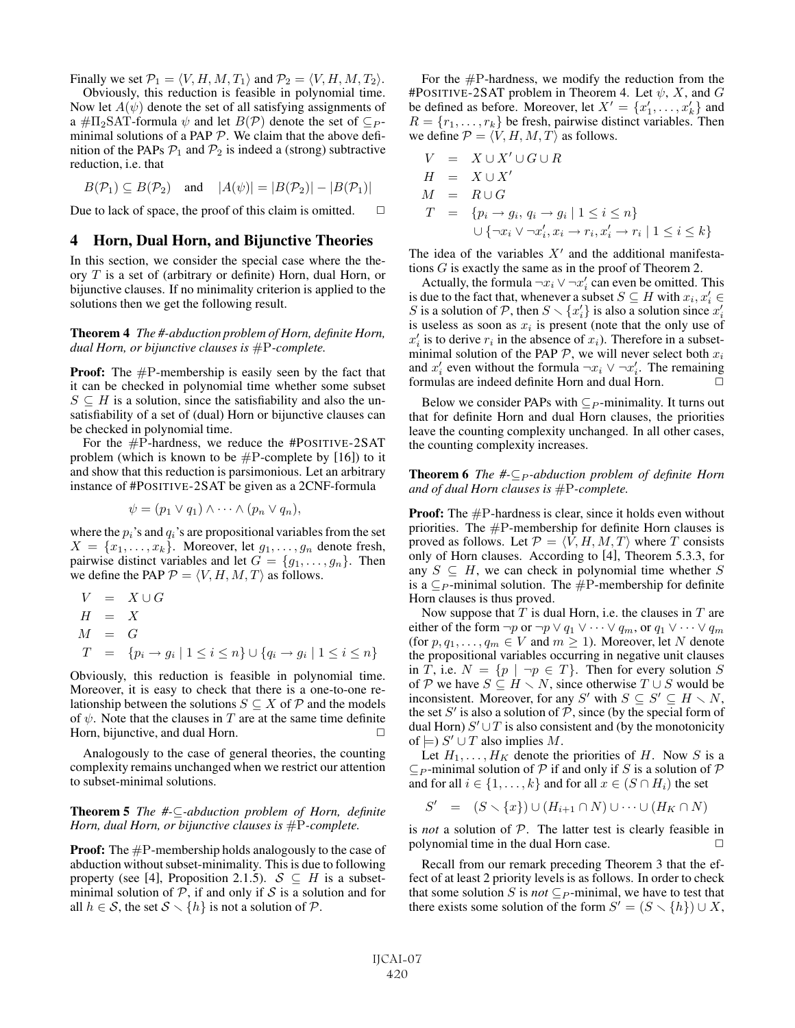Finally we set  $\mathcal{P}_1 = \langle V, H, M, T_1 \rangle$  and  $\mathcal{P}_2 = \langle V, H, M, T_2 \rangle$ .<br>Obviously this reduction is feasible in polynomial time

Obviously, this reduction is feasible in polynomial time. Now let  $A(\psi)$  denote the set of all satisfying assignments of a # $\Pi_2$ SAT-formula  $\psi$  and let  $B(\mathcal{P})$  denote the set of  $\subseteq P$ minimal solutions of a PAP  $P$ . We claim that the above definition of the PAPs  $P_1$  and  $P_2$  is indeed a (strong) subtractive reduction, i.e. that

$$
B(\mathcal{P}_1) \subseteq B(\mathcal{P}_2)
$$
 and  $|A(\psi)| = |B(\mathcal{P}_2)| - |B(\mathcal{P}_1)|$ 

Due to lack of space, the proof of this claim is omitted.  $\Box$ 

# 4 Horn, Dual Horn, and Bijunctive Theories

In this section, we consider the special case where the theory T is a set of (arbitrary or definite) Horn, dual Horn, or bijunctive clauses. If no minimality criterion is applied to the solutions then we get the following result.

Theorem 4 *The #-abduction problem of Horn, definite Horn, dual Horn, or bijunctive clauses is* #P*-complete.*

**Proof:** The  $\#P$ -membership is easily seen by the fact that it can be checked in polynomial time whether some subset  $S \subseteq H$  is a solution, since the satisfiability and also the unsatisfiability of a set of (dual) Horn or bijunctive clauses can be checked in polynomial time.

For the #P-hardness, we reduce the #POSITIVE-2SAT problem (which is known to be  $\#P$ -complete by [16]) to it and show that this reduction is parsimonious. Let an arbitrary instance of #POSITIVE-2SAT be given as a 2CNF-formula

$$
\psi = (p_1 \vee q_1) \wedge \cdots \wedge (p_n \vee q_n),
$$

where the  $p_i$ 's and  $q_i$ 's are propositional variables from the set  $X = \{x_1, \ldots, x_k\}$ . Moreover, let  $g_1, \ldots, g_n$  denote fresh, pairwise distinct variables and let  $G = \{g_1, \ldots, g_n\}$ . Then we define the PAP  $P = \langle V, H, M, T \rangle$  as follows.

$$
V = X \cup G
$$
  
\n
$$
H = X
$$
  
\n
$$
M = G
$$
  
\n
$$
T = \{p_i \rightarrow g_i \mid 1 \le i \le n\} \cup \{q_i \rightarrow g_i \mid 1 \le i \le n\}
$$

Obviously, this reduction is feasible in polynomial time. Moreover, it is easy to check that there is a one-to-one relationship between the solutions  $S \subseteq X$  of  $P$  and the models of  $\psi$ . Note that the clauses in T are at the same time definite Horn, bijunctive, and dual Horn.

Analogously to the case of general theories, the counting complexity remains unchanged when we restrict our attention to subset-minimal solutions.

Theorem 5 *The #-*⊆*-abduction problem of Horn, definite Horn, dual Horn, or bijunctive clauses is* #P*-complete.*

**Proof:** The  $#P$ -membership holds analogously to the case of abduction without subset-minimality. This is due to following property (see [4], Proposition 2.1.5).  $S \subseteq H$  is a subsetminimal solution of  $P$ , if and only if  $S$  is a solution and for all  $h \in S$ , the set  $S \setminus \{h\}$  is not a solution of  $P$ .

For the #P-hardness, we modify the reduction from the #POSITIVE-2SAT problem in Theorem 4. Let  $\psi$ , X, and G be defined as before. Moreover, let  $X' = \{x'_1, \ldots, x'_k\}$  and  $B = \{x_1, \ldots, x_k\}$  be fresh pairwise distinct variables. Then  $R = \{r_1, \ldots, r_k\}$  be fresh, pairwise distinct variables. Then we define  $P = \langle V, H, M, T \rangle$  as follows.

$$
V = X \cup X' \cup G \cup R
$$
  
\n
$$
H = X \cup X'
$$
  
\n
$$
M = R \cup G
$$
  
\n
$$
T = \{p_i \rightarrow g_i, q_i \rightarrow g_i \mid 1 \le i \le n\}
$$
  
\n
$$
\cup \{\neg x_i \vee \neg x'_i, x_i \rightarrow r_i, x'_i \rightarrow r_i \mid 1 \le i \le k\}
$$

The idea of the variables  $X'$  and the additional manifestations G is exactly the same as in the proof of Theorem 2.

Actually, the formula  $\neg x_i \lor \neg x_i'$  can even be omitted. This due to the fact that whenever a subset  $S \subset H$  with  $x_i, x_i' \in$ is due to the fact that, whenever a subset  $S \subseteq H$  with  $x_i, x'_i \in S$  is a solution of  $\mathcal{P}$  then  $S \setminus \{x'_i\}$  is also a solution since  $x'_i$ . S is a solution of P, then  $S \setminus \{x_i'\}$  is also a solution since  $x_i'$  is useless as soon as  $x_i$  is present (note that the only use of is useless as soon as  $x_i$  is present (note that the only use of  $x'_i$  is to derive  $r_i$  in the absence of  $x_i$ ). Therefore in a subset-<br>minimal solution of the PAP  $\mathcal P$  we will never select both  $r_i$ . minimal solution of the PAP  $P$ , we will never select both  $x_i$ and  $x'_i$  even without the formula  $\neg x_i \lor \neg x'_i$ . The remaining formulas are indeed definite Horn and dual Horn formulas are indeed definite Horn and dual Horn.  $\Box$ 

Below we consider PAPs with  $\subseteq$  *P*-minimality. It turns out that for definite Horn and dual Horn clauses, the priorities leave the counting complexity unchanged. In all other cases, the counting complexity increases.

#### **Theorem 6** *The #-*⊆<sub>*P</sub>*-abduction problem of definite Horn</sub> *and of dual Horn clauses is* #P*-complete.*

**Proof:** The  $\#P$ -hardness is clear, since it holds even without priorities. The #P-membership for definite Horn clauses is proved as follows. Let  $P = \langle V, H, M, T \rangle$  where T consists only of Horn clauses. According to [4]. Theorem 5.3.3, for only of Horn clauses. According to [4], Theorem 5.3.3, for any  $S \subseteq H$ , we can check in polynomial time whether S is a  $\subseteq$  *P*-minimal solution. The  $\#$ P-membership for definite Horn clauses is thus proved.

Now suppose that  $T$  is dual Horn, i.e. the clauses in  $T$  are either of the form  $\neg p$  or  $\neg p \lor q_1 \lor \cdots \lor q_m$ , or  $q_1 \lor \cdots \lor q_m$ (for  $p, q_1, \ldots, q_m \in V$  and  $m \ge 1$ ). Moreover, let N denote the propositional variables occurring in negative unit clauses in T, i.e.  $N = \{p \mid \neg p \in T\}$ . Then for every solution S of P we have  $S \subseteq H \setminus N$ , since otherwise  $T \cup S$  would be inconsistent. Moreover, for any S' with  $S \subseteq S' \subseteq H \setminus N$ , the set  $S'$  is also a solution of  $P$ , since (by the special form of dual Horn)  $S' \cup T$  is also consistent and (by the monotonicity of  $\models$ ) S'  $\cup$  T also implies M.

Let  $H_1, \ldots, H_K$  denote the priorities of H. Now S is a  $\subseteq$  *P*-minimal solution of  $P$  if and only if S is a solution of  $P$ and for all  $i \in \{1, \ldots, k\}$  and for all  $x \in (S \cap H_i)$  the set

$$
S' = (S \setminus \{x\}) \cup (H_{i+1} \cap N) \cup \cdots \cup (H_K \cap N)
$$

is *not* a solution of P. The latter test is clearly feasible in polynomial time in the dual Horn case.  $\Box$ 

Recall from our remark preceding Theorem 3 that the effect of at least 2 priority levels is as follows. In order to check that some solution S is *not*  $\subseteq$   $_P$ -minimal, we have to test that there exists some solution of the form  $S' = (S \setminus \{h\}) \cup X$ ,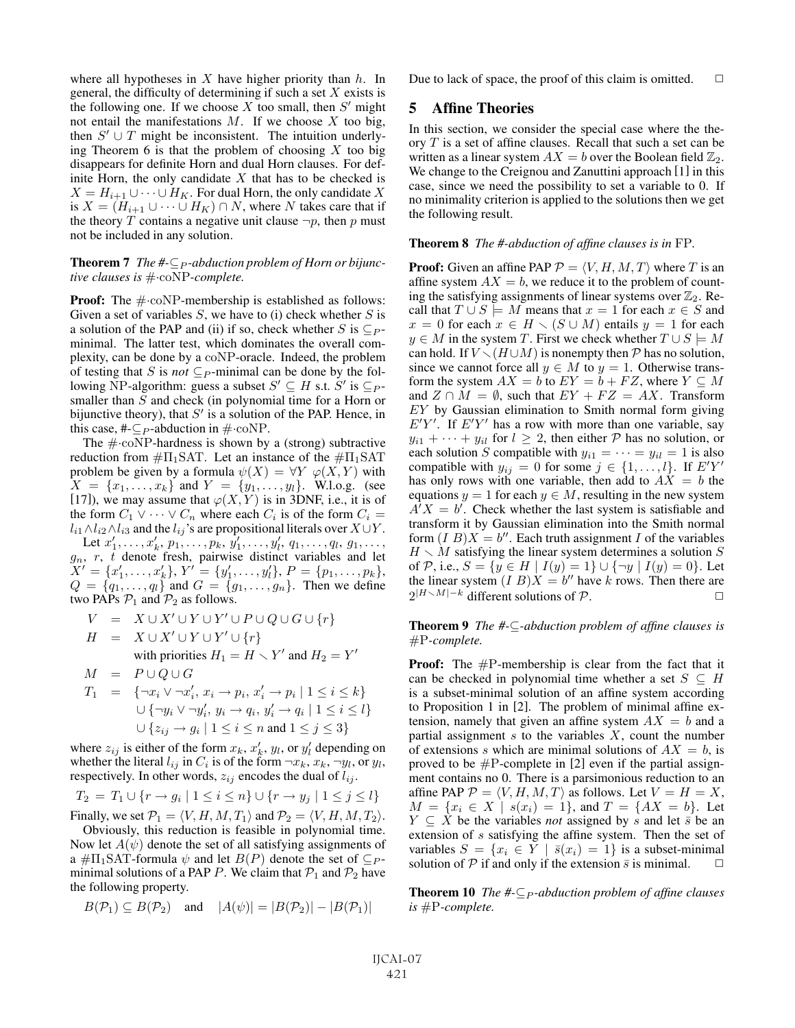where all hypotheses in  $X$  have higher priority than  $h$ . In general, the difficulty of determining if such a set  $X$  exists is the following one. If we choose  $X$  too small, then  $S'$  might not entail the manifestations  $M$ . If we choose  $X$  too big, then  $S' \cup T$  might be inconsistent. The intuition underlying Theorem 6 is that the problem of choosing  $X$  too big disappears for definite Horn and dual Horn clauses. For definite Horn, the only candidate  $X$  that has to be checked is  $X = H_{i+1} \cup \cdots \cup H_K$ . For dual Horn, the only candidate X is  $X = (H_{i+1} \cup \cdots \cup H_K) \cap N$ , where N takes care that if the theory T contains a negative unit clause  $\neg p$ , then p must not be included in any solution.

**Theorem 7** *The*  $#$ - $\subseteq$   $_P$ -abduction problem of Horn or bijunc*tive clauses is* #·coNP*-complete.*

**Proof:** The  $\#$ -coNP-membership is established as follows: Given a set of variables  $S$ , we have to (i) check whether  $S$  is a solution of the PAP and (ii) if so, check whether S is  $\subseteq$   $\subseteq$   $\subseteq$ minimal. The latter test, which dominates the overall complexity, can be done by a coNP-oracle. Indeed, the problem of testing that <sup>S</sup> is *not* <sup>⊆</sup><sup>P</sup> -minimal can be done by the following NP-algorithm: guess a subset  $S' \subseteq H$  s.t.  $S'$  is  $\subseteq P$ smaller than S and check (in polynomial time for a Horn or bijunctive theory), that  $S'$  is a solution of the PAP. Hence, in this case, #- $\subseteq$  *p*-abduction in  $\#$ ·coNP.

The  $\#$ ·coNP-hardness is shown by a (strong) subtractive reduction from  $\#\Pi_1\text{SAT}$ . Let an instance of the  $\#\Pi_1\text{SAT}$ problem be given by a formula  $\psi(X) = \forall Y \varphi(X, Y)$  with  $X = \{x_1, \dots, x_k\}$  and  $Y = \{y_1, \dots, y_k\}$ . Wlog (see  $X = \{x_1, \ldots, x_k\}$  and  $Y = \{y_1, \ldots, y_l\}$ . W.l.o.g. (see [17]) we may assume that  $\varphi(X, Y)$  is in 3DNF i.e. it is of [17]), we may assume that  $\varphi(X, Y)$  is in 3DNF, i.e., it is of the form  $C_1 \to \cdots \to C_n$  where each  $C_i$  is of the form  $C_i =$ the form  $C_1 \vee \cdots \vee C_n$  where each  $C_i$  is of the form  $C_i$  =  $l_{i1} \wedge l_{i2} \wedge l_{i3}$  and the  $l_{ij}$ 's are propositional literals over  $X \cup Y$ .

Let  $x'_1, \ldots, x'_k, p_1, \ldots, p_k, y'_1, \ldots, y'_l, q_1, \ldots, q_l, q_1, \ldots, q_k$ <br>  $r_t$  denote fresh pairwise distinct variables and let  $g_n$ , r, t denote fresh, pairwise distinct variables and let  $X' = \{x'_n, x'_n\}$   $Y' = \{y'_n, y'_n\}$   $P = \{y_1, y_2\}$  $X' = \{x'_1, \ldots, x'_k\}, Y' = \{y'_1, \ldots, y'_l\}, P = \{p_1, \ldots, p_k\},$ <br>  $Q = \{q_1, \ldots, q_k\}$  and  $G = \{q_1, \ldots, q_k\}$ . Then we define  $Q = \{q_1, \ldots, q_l\}$  and  $G = \{g_1, \ldots, g_n\}$ . Then we define two PAPs  $\mathcal{P}_1$  and  $\mathcal{P}_2$  as follows two PAPs  $P_1$  and  $P_2$  as follows.

$$
V = X \cup X' \cup Y \cup Y' \cup P \cup Q \cup G \cup \{r\}
$$
  
\n
$$
H = X \cup X' \cup Y \cup Y' \cup \{r\}
$$
  
\n
$$
H = X \cup X' \cup Y \cup Y' \cup \{r\}
$$

with priorities 
$$
H_1 = H \setminus Y'
$$
 and  $H_2 = Y'$ 

$$
M = P \cup Q \cup G
$$
  
\n
$$
T_1 = \{ \neg x_i \lor \neg x_i', x_i \rightarrow p_i, x_i' \rightarrow p_i \mid 1 \le i \le k \}
$$
  
\n
$$
\cup \{ \neg y_i \lor \neg y_i', y_i \rightarrow q_i, y_i' \rightarrow q_i \mid 1 \le i \le l \}
$$
  
\n
$$
\cup \{ z_{ij} \rightarrow g_i \mid 1 \le i \le n \text{ and } 1 \le j \le 3 \}
$$

where  $z_{ij}$  is either of the form  $x_k$ ,  $x'_k$ ,  $y_l$ , or  $y'_l$  depending on whether the literal  $l_{ij}$  in  $C_i$  is of the form  $\neg x_k$ ,  $x_k$ ,  $\neg y_k$  or  $y_l$ whether the literal  $l_{ij}$  in  $C_i$  is of the form  $\neg x_k$ ,  $x_k$ ,  $\neg y_l$ , or  $y_l$ , respectively. In other words,  $z_{ij}$  encodes the dual of  $l_{ij}$ .

$$
T_2 = T_1 \cup \{r \to g_i \mid 1 \le i \le n\} \cup \{r \to g_j \mid 1 \le j \le l\}
$$
  
Finally, we set  $\mathcal{P}_1 = \langle V, H, M, T_1 \rangle$  and  $\mathcal{P}_2 = \langle V, H, M, T_2 \rangle$ .  
Obviously this reduction is feasible in polynomial time

Obviously, this reduction is feasible in polynomial time.

Now let  $A(\psi)$  denote the set of all satisfying assignments of a # $\Pi_1$ SAT-formula  $\psi$  and let  $B(P)$  denote the set of  $\subseteq P$ minimal solutions of a PAP P. We claim that  $P_1$  and  $P_2$  have the following property.

$$
B(\mathcal{P}_1) \subseteq B(\mathcal{P}_2)
$$
 and  $|A(\psi)| = |B(\mathcal{P}_2)| - |B(\mathcal{P}_1)|$ 

Due to lack of space, the proof of this claim is omitted.  $\Box$ 

#### 5 Affine Theories

In this section, we consider the special case where the theory  $T$  is a set of affine clauses. Recall that such a set can be written as a linear system  $AX = b$  over the Boolean field  $\mathbb{Z}_2$ . We change to the Creignou and Zanuttini approach [1] in this case, since we need the possibility to set a variable to 0. If no minimality criterion is applied to the solutions then we get the following result.

#### Theorem 8 *The #-abduction of affine clauses is in* FP*.*

**Proof:** Given an affine PAP  $\mathcal{P} = \langle V, H, M, T \rangle$  where T is an affine system  $AX = b$  we reduce it to the problem of countaffine system  $AX = b$ , we reduce it to the problem of counting the satisfying assignments of linear systems over  $\mathbb{Z}_2$ . Recall that  $T \cup S \models M$  means that  $x = 1$  for each  $x \in S$  and  $x = 0$  for each  $x \in H \setminus (S \cup M)$  entails  $y = 1$  for each  $y \in M$  in the system T. First we check whether  $T \cup S \models M$ can hold. If  $V \setminus (H \cup M)$  is nonempty then P has no solution, since we cannot force all  $y \in M$  to  $y = 1$ . Otherwise transform the system  $AX = b$  to  $EY = b + FZ$ , where  $Y \subseteq M$ and  $Z \cap M = \emptyset$ , such that  $EY + FZ = AX$ . Transform EY by Gaussian elimination to Smith normal form giving  $E'Y'$ . If  $E'Y'$  has a row with more than one variable, say  $u_{11} + \cdots + u_{kl}$  for  $l \geq 2$  then either  $\mathcal{P}$  has no solution or  $y_{i1} + \cdots + y_{il}$  for  $l \geq 2$ , then either P has no solution, or each solution S compatible with  $y_{i1} = \cdots = y_{il} = 1$  is also compatible with  $y_{ij} = 0$  for some  $j \in \{1, ..., l\}$ . If  $E'Y'$  has only rows with one variable then add to  $AX = b$  the has only rows with one variable, then add to  $AX = b$  the equations  $y = 1$  for each  $y \in M$ , resulting in the new system  $\overline{A'}X = b'$ . Check whether the last system is satisfiable and transform it by Gaussian elimination into the Smith normal transform it by Gaussian elimination into the Smith normal form  $(I B)X = b''$ . Each truth assignment I of the variables  $H \setminus M$  satisfying the linear system determines a solution S of P, i.e.,  $S = \{y \in H \mid I(y) = 1\} \cup \{\neg y \mid I(y) = 0\}$ . Let the linear system  $(I B)X = b''$  have k rows. Then there are  $2^{|H \setminus M|-k}$  different solutions of  $P$ .  $□$ 

Theorem 9 *The #-*⊆*-abduction problem of affine clauses is* #P*-complete.*

**Proof:** The  $#P$ -membership is clear from the fact that it can be checked in polynomial time whether a set  $S \subseteq H$ is a subset-minimal solution of an affine system according to Proposition 1 in [2]. The problem of minimal affine extension, namely that given an affine system  $AX = b$  and a partial assignment  $s$  to the variables  $X$ , count the number of extensions s which are minimal solutions of  $AX = b$ , is proved to be  $\#P$ -complete in [2] even if the partial assignment contains no 0. There is a parsimonious reduction to an affine PAP  $P = \langle V, H, M, T \rangle$  as follows. Let  $V = H = X$ ,<br>  $M = \{x_i \in X \mid s(x_i) = 1\}$  and  $T = \{AX = b\}$  Let  $M = \{x_i \in X \mid s(x_i) = 1\}$ , and  $T = \{AX = b\}$ . Let  $Y \subseteq \overline{X}$  be the variables *not* assigned by s and let  $\overline{s}$  be an extension of s satisfying the affine system. Then the set of variables  $S = \{x_i \in Y \mid \overline{s}(x_i)=1\}$  is a subset-minimal solution of  $P$  if and only if the extension  $\bar{s}$  is minimal.

**Theorem 10** *The*  $# \subseteq P$ *-abduction problem of affine clauses is* #P*-complete.*